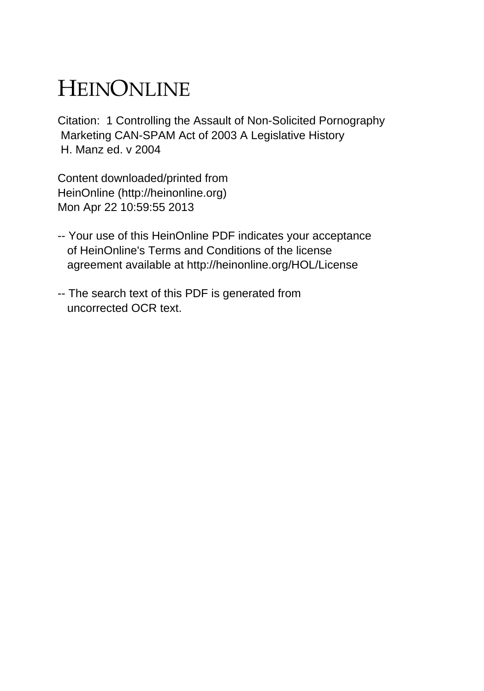## HEINONLINE

Citation: 1 Controlling the Assault of Non-Solicited Pornography Marketing CAN-SPAM Act of 2003 A Legislative History H. Manz ed. v 2004

Content downloaded/printed from HeinOnline (http://heinonline.org) Mon Apr 22 10:59:55 2013

- -- Your use of this HeinOnline PDF indicates your acceptance of HeinOnline's Terms and Conditions of the license agreement available at http://heinonline.org/HOL/License
- -- The search text of this PDF is generated from uncorrected OCR text.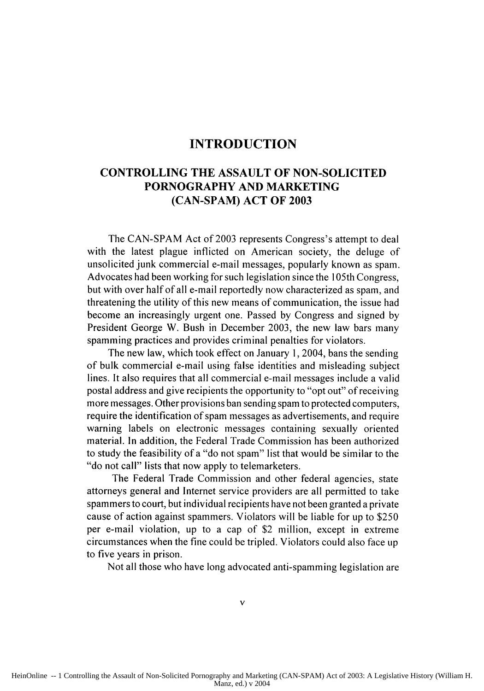## **INTRODUCTION**

## **CONTROLLING THE ASSAULT OF NON-SOLICITED PORNOGRAPHY AND MARKETING (CAN-SPAM) ACT OF 2003**

The **CAN-SPAM** Act of **2003** represents Congress's attempt to deal with the latest plague inflicted on American society, the deluge of unsolicited junk commercial e-mail messages, popularly known as spam. Advocates had been working for such legislation since the 105th Congress, but with over half of all e-mail reportedly now characterized as spam, and threatening the utility of this new means of communication, the issue had become an increasingly urgent one. Passed **by** Congress and signed **by** President George W. Bush in December **2003,** the new law bars many spamming practices and provides criminal penalties for violators.

The new law, which took effect on January **1,** 2004, bans the sending of bulk commercial e-mail using false identities and misleading subject lines. It also requires that all commercial e-mail messages include a valid postal address and give recipients the opportunity to "opt out" of receiving more messages. Other provisions ban sending spam to protected computers, require the identification of spam messages as advertisements, and require warning labels on electronic messages containing sexually oriented material. In addition, the Federal Trade Commission has been authorized to study the feasibility of a "do not spam" list that would be similar to **the** "do not call" lists that now apply to telemarketers.

The Federal Trade Commission and other federal agencies, state attorneys general and Internet service providers are all permitted to take spammers to court, but individual recipients have not been granted a private cause of action against spammers. Violators will be liable for up to **\$250** per e-mail violation, up to a cap of \$2 million, except in extreme circumstances when **the** fine could be tripled. Violators could also face **Ip** to five years in prison.

Not all those who have long advocated anti-spamming legislation are